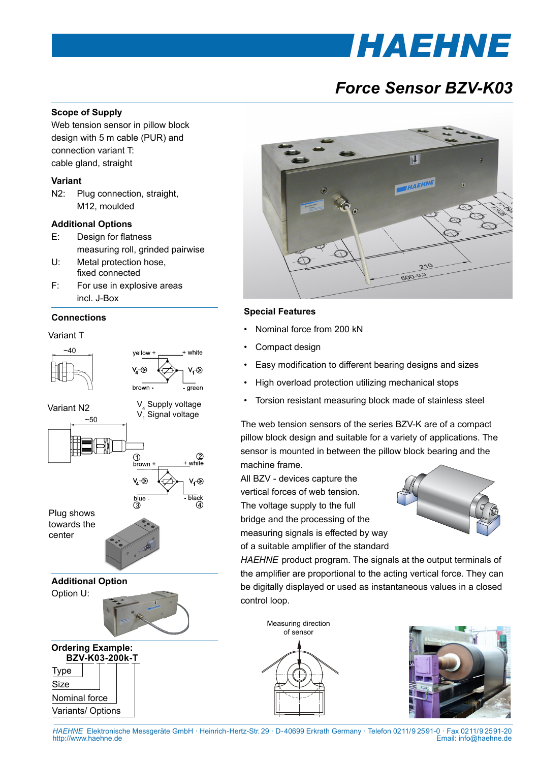# **THAEHNE**

# *Force Sensor BZV-K03*

# **Scope of Supply**

Web tension sensor in pillow block design with 5 m cable (PUR) and connection variant T: cable gland, straight

#### **Variant**

N2: Plug connection, straight, M12, moulded

# **Additional Options**

- E: Design for flatness measuring roll, grinded pairwise
- U: Metal protection hose, fixed connected
- F: For use in explosive areas incl. J-Box

## **Connections**

Variant T





# **Special Features**

- Nominal force from 200 kN
- Compact design
- Easy modification to different bearing designs and sizes
- High overload protection utilizing mechanical stops
- Torsion resistant measuring block made of stainless steel

The web tension sensors of the series BZV-K are of a compact pillow block design and suitable for a variety of applications. The sensor is mounted in between the pillow block bearing and the machine frame.

All BZV - devices capture the vertical forces of web tension. The voltage supply to the full bridge and the processing of the measuring signals is effected by way of a suitable amplifier of the standard



*HAEHNE* product program. The signals at the output terminals of the amplifier are proportional to the acting vertical force. They can be digitally displayed or used as instantaneous values in a closed control loop.

Measuring direction of sensor





*HAEHNE* Elektronische Messgeräte GmbH · Heinrich-Hertz-Str. 29 · D-40699 Erkrath Germany · Telefon 0211/9 25 91-0 · Fax 0211/9 25 91-20 Email: info@haehne.de